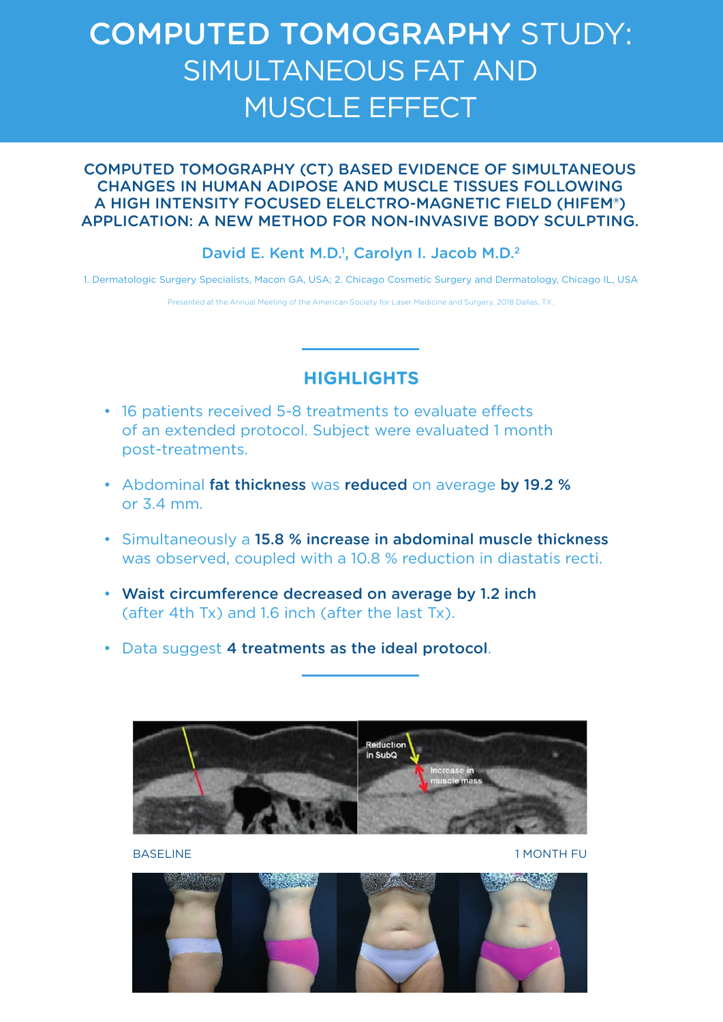# COMPUTED TOMOGRAPHY STUDY: SIMULTANEOUS FAT AND MUSCLE EFFECT

## COMPUTED TOMOGRAPHY (CT) BASED EVIDENCE OF SIMULTANEOUS CHANGES IN HUMAN ADIPOSE AND MUSCLE TISSUES FOLLOWING A HIGH INTENSITY FOCUSED ELELCTRO-MAGNETIC FIELD (HIFEM®) APPLICATION: A NEW METHOD FOR NON-INVASIVE BODY SCULPTING.

## David E. Kent M.D.<sup>1</sup>, Carolyn I. Jacob M.D.<sup>2</sup>

1. Dermatologic Surgery Specialists, Macon GA, USA; 2. Chicago Cosmetic Surgery and Dermatology, Chicago IL, USA

Presented at the Annual Meeting of the American Society for Laser Medicine and Surgery, 2018 Dallas, TX.

## **HIGHLIGHTS**

- 16 patients received 5-8 treatments to evaluate effects of an extended protocol. Subject were evaluated 1 month post-treatments.
- Abdominal fat thickness was reduced on average by 19.2 % or 3.4 mm.
- Simultaneously a 15.8 % increase in abdominal muscle thickness was observed, coupled with a 10.8 % reduction in diastatis recti.
- Waist circumference decreased on average by 1.2 inch (after 4th Tx) and 1.6 inch (after the last Tx).
- Data suggest 4 treatments as the ideal protocol.



BASELINE 1 MONTH FU